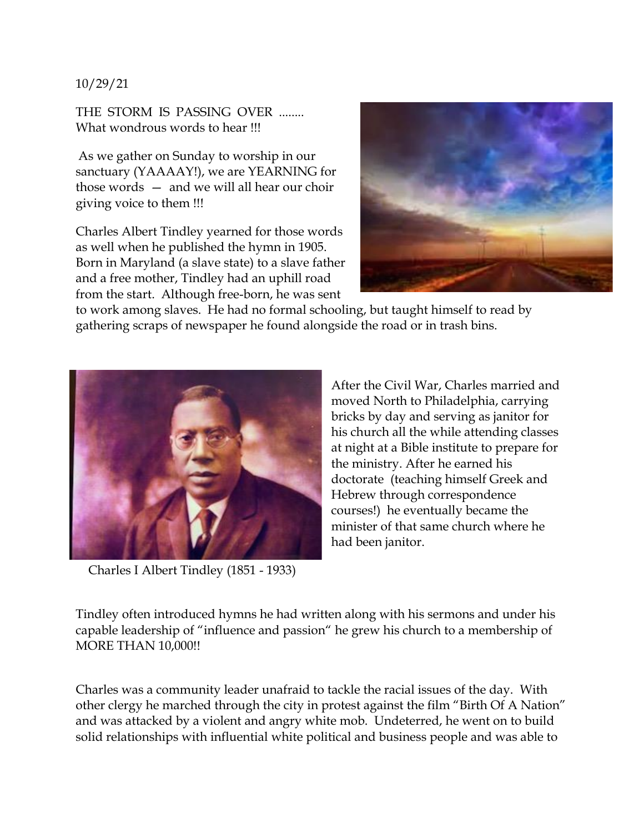## 10/29/21

THE STORM IS PASSING OVER ........ What wondrous words to hear !!!

As we gather on Sunday to worship in our sanctuary (YAAAAY!), we are YEARNING for those words — and we will all hear our choir giving voice to them !!!

Charles Albert Tindley yearned for those words as well when he published the hymn in 1905. Born in Maryland (a slave state) to a slave father and a free mother, Tindley had an uphill road from the start. Although free-born, he was sent



to work among slaves. He had no formal schooling, but taught himself to read by gathering scraps of newspaper he found alongside the road or in trash bins.



Charles I Albert Tindley (1851 - 1933)

After the Civil War, Charles married and moved North to Philadelphia, carrying bricks by day and serving as janitor for his church all the while attending classes at night at a Bible institute to prepare for the ministry. After he earned his doctorate (teaching himself Greek and Hebrew through correspondence courses!) he eventually became the minister of that same church where he had been janitor.

Tindley often introduced hymns he had written along with his sermons and under his capable leadership of "influence and passion" he grew his church to a membership of MORE THAN 10,000!!

Charles was a community leader unafraid to tackle the racial issues of the day. With other clergy he marched through the city in protest against the film "Birth Of A Nation" and was attacked by a violent and angry white mob. Undeterred, he went on to build solid relationships with influential white political and business people and was able to